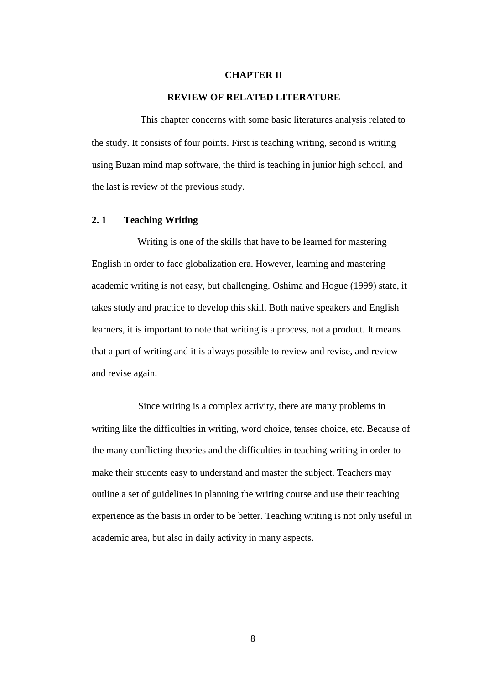#### **CHAPTER II**

## **REVIEW OF RELATED LITERATURE**

This chapter concerns with some basic literatures analysis related to the study. It consists of four points. First is teaching writing, second is writing using Buzan mind map software, the third is teaching in junior high school, and the last is review of the previous study.

## **2. 1 Teaching Writing**

Writing is one of the skills that have to be learned for mastering English in order to face globalization era. However, learning and mastering academic writing is not easy, but challenging. Oshima and Hogue (1999) state, it takes study and practice to develop this skill. Both native speakers and English learners, it is important to note that writing is a process, not a product. It means that a part of writing and it is always possible to review and revise, and review and revise again.

Since writing is a complex activity, there are many problems in writing like the difficulties in writing, word choice, tenses choice, etc. Because of the many conflicting theories and the difficulties in teaching writing in order to make their students easy to understand and master the subject. Teachers may outline a set of guidelines in planning the writing course and use their teaching experience as the basis in order to be better. Teaching writing is not only useful in academic area, but also in daily activity in many aspects.

8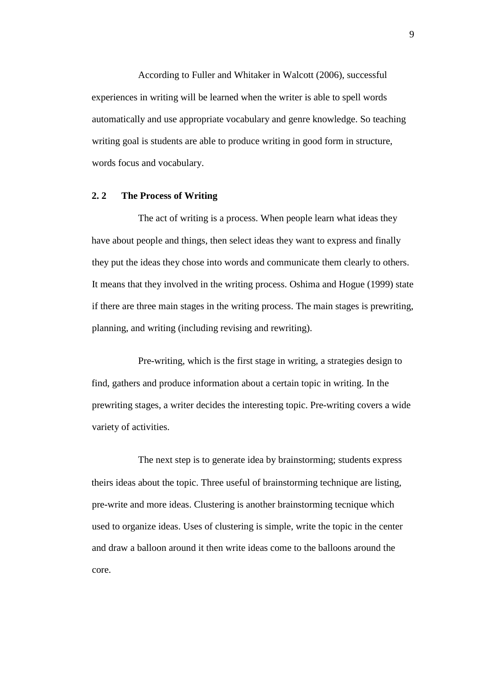According to Fuller and Whitaker in Walcott (2006), successful experiences in writing will be learned when the writer is able to spell words automatically and use appropriate vocabulary and genre knowledge. So teaching writing goal is students are able to produce writing in good form in structure, words focus and vocabulary.

# **2. 2 The Process of Writing**

The act of writing is a process. When people learn what ideas they have about people and things, then select ideas they want to express and finally they put the ideas they chose into words and communicate them clearly to others. It means that they involved in the writing process. Oshima and Hogue (1999) state if there are three main stages in the writing process. The main stages is prewriting, planning, and writing (including revising and rewriting).

Pre-writing, which is the first stage in writing, a strategies design to find, gathers and produce information about a certain topic in writing. In the prewriting stages, a writer decides the interesting topic. Pre-writing covers a wide variety of activities.

The next step is to generate idea by brainstorming; students express theirs ideas about the topic. Three useful of brainstorming technique are listing, pre-write and more ideas. Clustering is another brainstorming tecnique which used to organize ideas. Uses of clustering is simple, write the topic in the center and draw a balloon around it then write ideas come to the balloons around the core.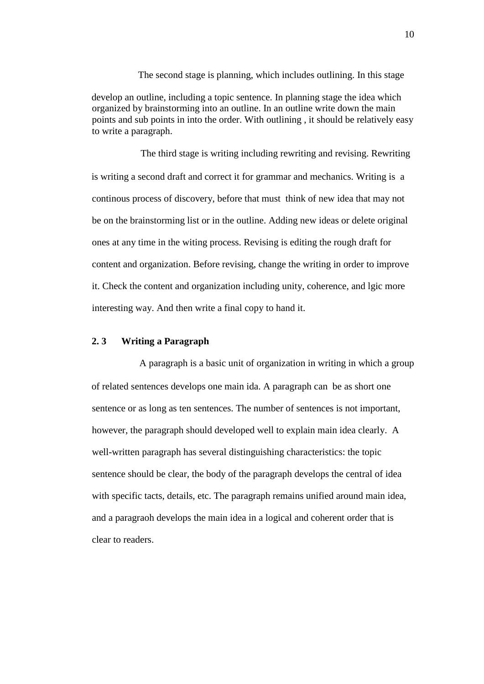develop an outline, including a topic sentence. In planning stage the idea which organized by brainstorming into an outline. In an outline write down the main points and sub points in into the order. With outlining , it should be relatively easy to write a paragraph.

The second stage is planning, which includes outlining. In this stage

The third stage is writing including rewriting and revising. Rewriting is writing a second draft and correct it for grammar and mechanics. Writing is a continous process of discovery, before that must think of new idea that may not be on the brainstorming list or in the outline. Adding new ideas or delete original ones at any time in the witing process. Revising is editing the rough draft for content and organization. Before revising, change the writing in order to improve it. Check the content and organization including unity, coherence, and lgic more interesting way. And then write a final copy to hand it.

#### **2. 3 Writing a Paragraph**

A paragraph is a basic unit of organization in writing in which a group of related sentences develops one main ida. A paragraph can be as short one sentence or as long as ten sentences. The number of sentences is not important, however, the paragraph should developed well to explain main idea clearly. A well-written paragraph has several distinguishing characteristics: the topic sentence should be clear, the body of the paragraph develops the central of idea with specific tacts, details, etc. The paragraph remains unified around main idea, and a paragraoh develops the main idea in a logical and coherent order that is clear to readers.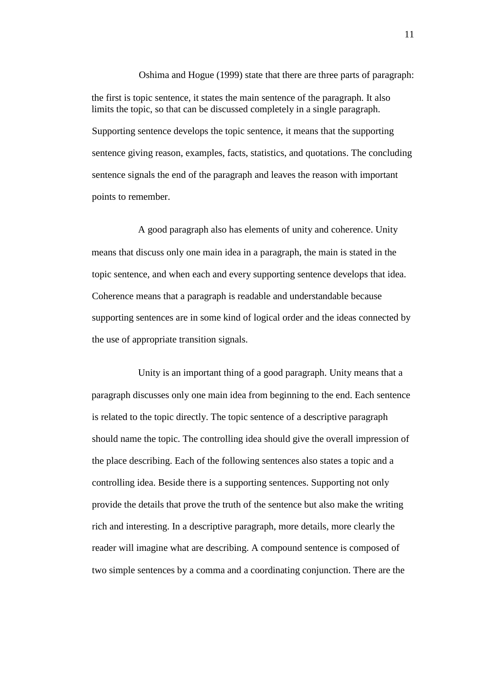Oshima and Hogue (1999) state that there are three parts of paragraph: the first is topic sentence, it states the main sentence of the paragraph. It also limits the topic, so that can be discussed completely in a single paragraph. Supporting sentence develops the topic sentence, it means that the supporting sentence giving reason, examples, facts, statistics, and quotations. The concluding sentence signals the end of the paragraph and leaves the reason with important points to remember.

A good paragraph also has elements of unity and coherence. Unity means that discuss only one main idea in a paragraph, the main is stated in the topic sentence, and when each and every supporting sentence develops that idea. Coherence means that a paragraph is readable and understandable because supporting sentences are in some kind of logical order and the ideas connected by the use of appropriate transition signals.

Unity is an important thing of a good paragraph. Unity means that a paragraph discusses only one main idea from beginning to the end. Each sentence is related to the topic directly. The topic sentence of a descriptive paragraph should name the topic. The controlling idea should give the overall impression of the place describing. Each of the following sentences also states a topic and a controlling idea. Beside there is a supporting sentences. Supporting not only provide the details that prove the truth of the sentence but also make the writing rich and interesting. In a descriptive paragraph, more details, more clearly the reader will imagine what are describing. A compound sentence is composed of two simple sentences by a comma and a coordinating conjunction. There are the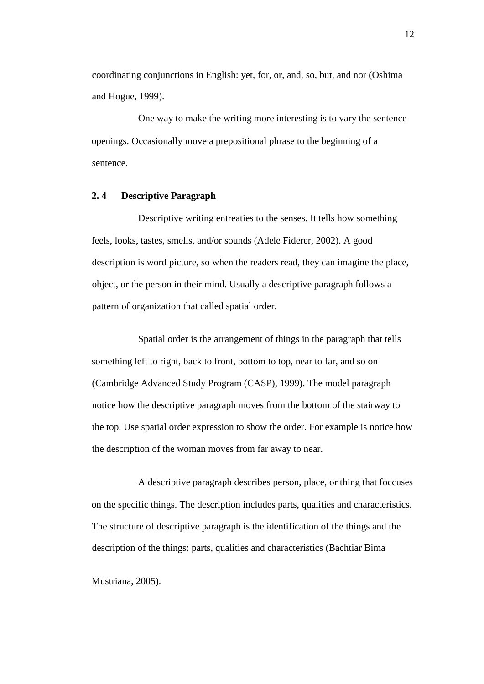coordinating conjunctions in English: yet, for, or, and, so, but, and nor (Oshima and Hogue, 1999).

One way to make the writing more interesting is to vary the sentence openings. Occasionally move a prepositional phrase to the beginning of a sentence.

# **2. 4 Descriptive Paragraph**

Descriptive writing entreaties to the senses. It tells how something feels, looks, tastes, smells, and/or sounds (Adele Fiderer, 2002). A good description is word picture, so when the readers read, they can imagine the place, object, or the person in their mind. Usually a descriptive paragraph follows a pattern of organization that called spatial order.

Spatial order is the arrangement of things in the paragraph that tells something left to right, back to front, bottom to top, near to far, and so on (Cambridge Advanced Study Program (CASP), 1999). The model paragraph notice how the descriptive paragraph moves from the bottom of the stairway to the top. Use spatial order expression to show the order. For example is notice how the description of the woman moves from far away to near.

A descriptive paragraph describes person, place, or thing that foccuses on the specific things. The description includes parts, qualities and characteristics. The structure of descriptive paragraph is the identification of the things and the description of the things: parts, qualities and characteristics (Bachtiar Bima

Mustriana, 2005).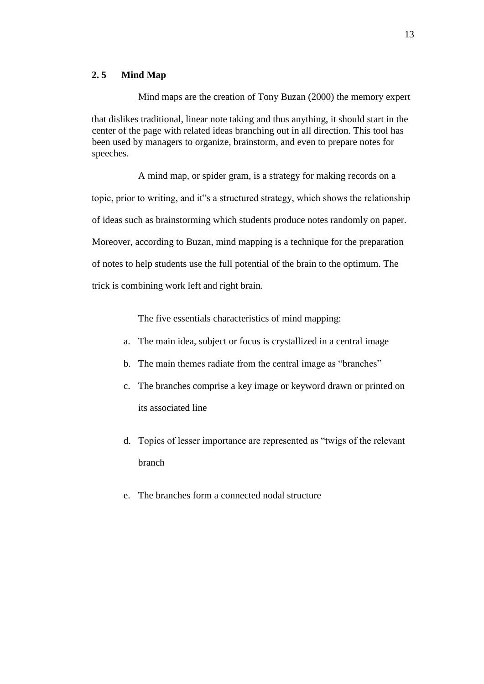## **2. 5 Mind Map**

Mind maps are the creation of Tony Buzan (2000) the memory expert that dislikes traditional, linear note taking and thus anything, it should start in the center of the page with related ideas branching out in all direction. This tool has been used by managers to organize, brainstorm, and even to prepare notes for speeches.

A mind map, or spider gram, is a strategy for making records on a topic, prior to writing, and it"s a structured strategy, which shows the relationship of ideas such as brainstorming which students produce notes randomly on paper. Moreover, according to Buzan, mind mapping is a technique for the preparation of notes to help students use the full potential of the brain to the optimum. The trick is combining work left and right brain.

The five essentials characteristics of mind mapping:

- a. The main idea, subject or focus is crystallized in a central image
- b. The main themes radiate from the central image as "branches"
- c. The branches comprise a key image or keyword drawn or printed on its associated line
- d. Topics of lesser importance are represented as "twigs of the relevant branch
- e. The branches form a connected nodal structure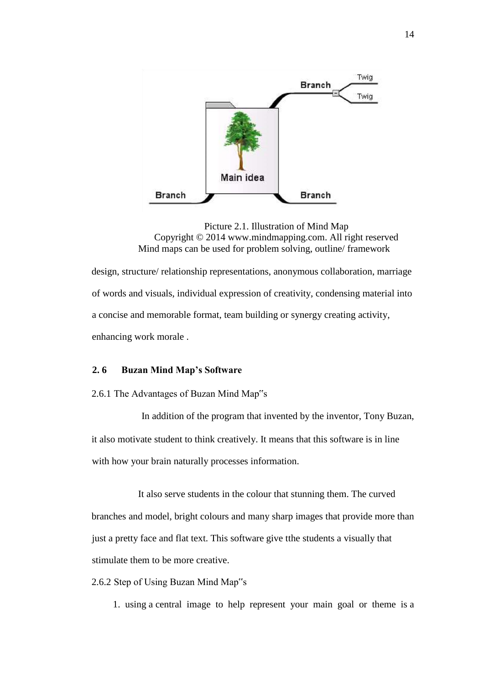

Picture 2.1. Illustration of Mind Map Copyright © 2014 www.mindmapping.com. All right reserved Mind maps can be used for problem solving, outline/ framework

design, structure/ relationship representations, anonymous collaboration, marriage of words and visuals, individual expression of creativity, condensing material into a concise and memorable format, team building or synergy creating activity, enhancing work morale .

# **2. 6 Buzan Mind Map's Software**

2.6.1 The Advantages of Buzan Mind Map"s

In addition of the program that invented by the inventor, Tony Buzan, it also motivate student to think creatively. It means that this software is in line with how your brain naturally processes information.

It also serve students in the colour that stunning them. The curved branches and model, bright colours and many sharp images that provide more than just a pretty face and flat text. This software give tthe students a visually that stimulate them to be more creative.

- 2.6.2 Step of Using Buzan Mind Map"s
	- 1. using a central image to help represent your main goal or theme is a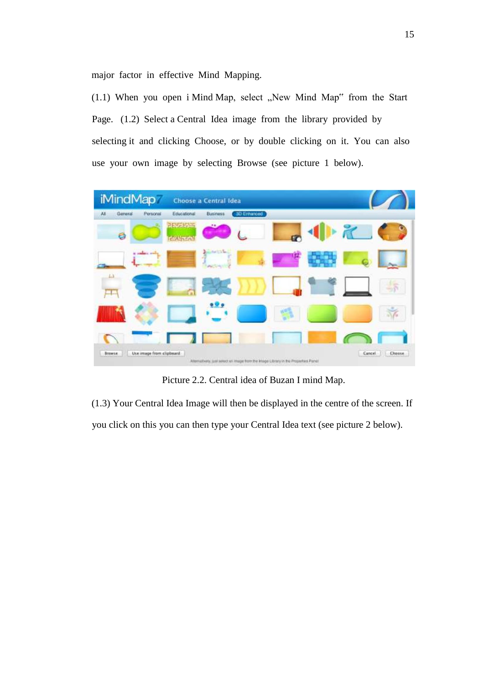major factor in effective Mind Mapping.

 $(1.1)$  When you open i Mind Map, select "New Mind Map" from the Start Page. (1.2) Select a Central Idea image from the library provided by selecting it and clicking Choose, or by double clicking on it. You can also use your own image by selecting Browse (see picture 1 below).



Picture 2.2. Central idea of Buzan I mind Map.

(1.3) Your Central Idea Image will then be displayed in the centre of the screen. If you click on this you can then type your Central Idea text (see picture 2 below).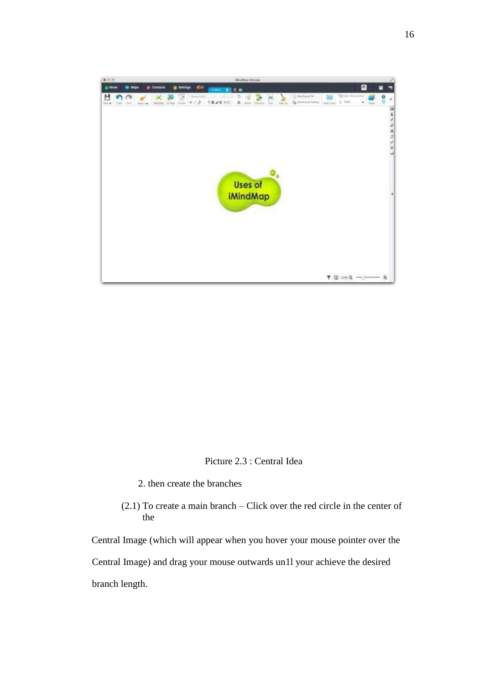

Picture 2.3 : Central Idea

- 2. then create the branches
- (2.1) To create a main branch Click over the red circle in the center of the

Central Image (which will appear when you hover your mouse pointer over the Central Image) and drag your mouse outwards un1l your achieve the desired branch length.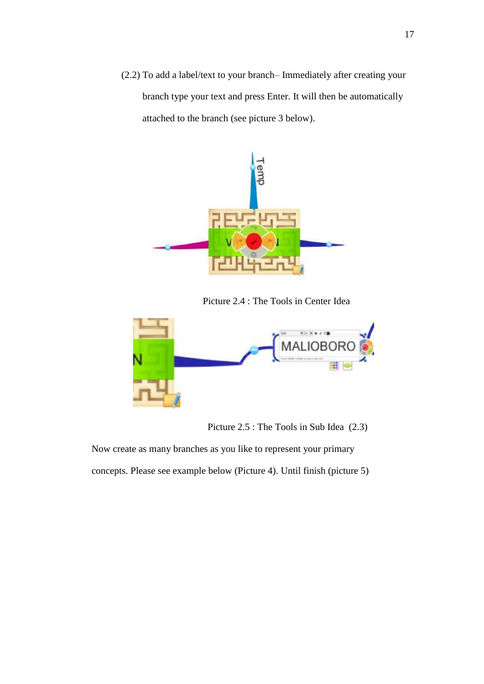(2.2) To add a label/text to your branch– Immediately after creating your branch type your text and press Enter. It will then be automatically attached to the branch (see picture 3 below).



Picture 2.4 : The Tools in Center Idea



Picture 2.5 : The Tools in Sub Idea (2.3)

Now create as many branches as you like to represent your primary concepts. Please see example below (Picture 4). Until finish (picture 5)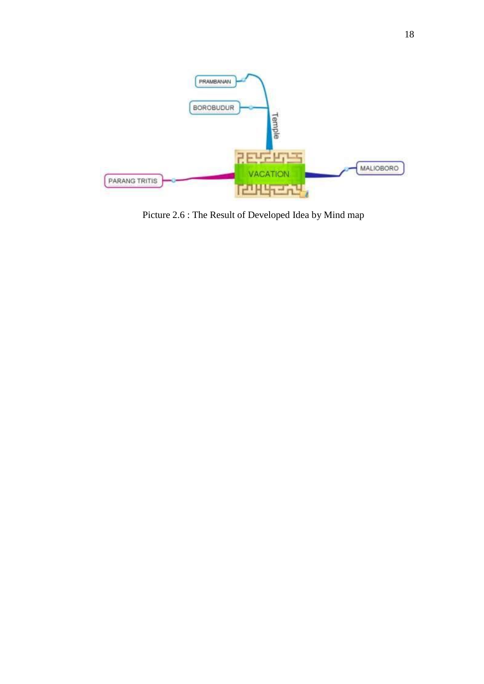

Picture 2.6 : The Result of Developed Idea by Mind map